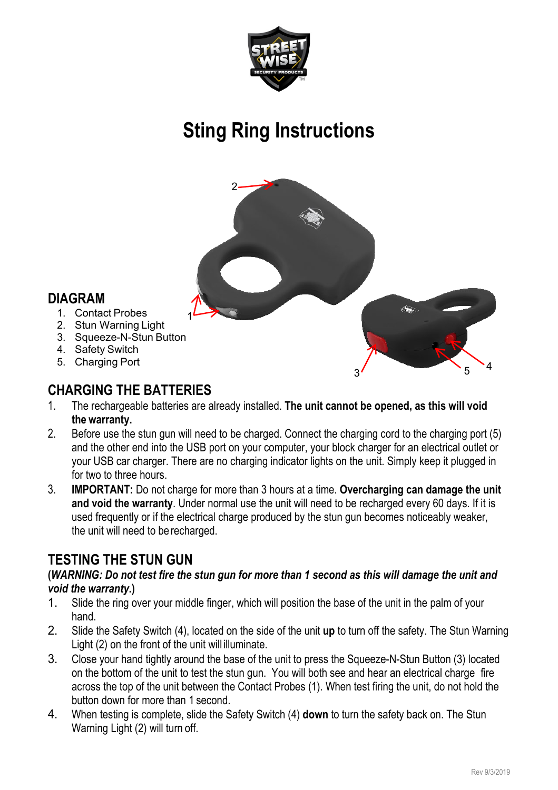

# **Sting Ring Instructions**



#### **DIAGRAM**

- 1. Contact Probes
- 2. Stun Warning Light
- 3. Squeeze-N-Stun Button
- 4. Safety Switch
- 5. Charging Port

# **CHARGING THE BATTERIES**<br>1 The rechargeable batteries are a

- 1. The rechargeable batteries are already installed. **The unit cannot be opened, as this will void the warranty.**
- 2. Before use the stun gun will need to be charged. Connect the charging cord to the charging port (5) and the other end into the USB port on your computer, your block charger for an electrical outlet or your USB car charger. There are no charging indicator lights on the unit. Simply keep it plugged in for two to three hours.
- 3. **IMPORTANT:** Do not charge for more than 3 hours at a time. **Overcharging can damage the unit and void the warranty**. Under normal use the unit will need to be recharged every 60 days. If it is used frequently or if the electrical charge produced by the stun gun becomes noticeably weaker, the unit will need to be recharged.

#### **TESTING THE STUN GUN**

#### **(***WARNING: Do not test fire the stun gun for more than 1 second as this will damage the unit and void the warranty***.)**

- 1. Slide the ring over your middle finger, which will position the base of the unit in the palm of your hand.
- 2. Slide the Safety Switch (4), located on the side of the unit **up** to turn off the safety. The Stun Warning Light (2) on the front of the unit will illuminate.
- 3. Close your hand tightly around the base of the unit to press the Squeeze-N-Stun Button (3) located on the bottom of the unit to test the stun gun. You will both see and hear an electrical charge fire across the top of the unit between the Contact Probes (1). When test firing the unit, do not hold the button down for more than 1 second.
- 4. When testing is complete, slide the Safety Switch (4) **down** to turn the safety back on. The Stun Warning Light (2) will turn off.